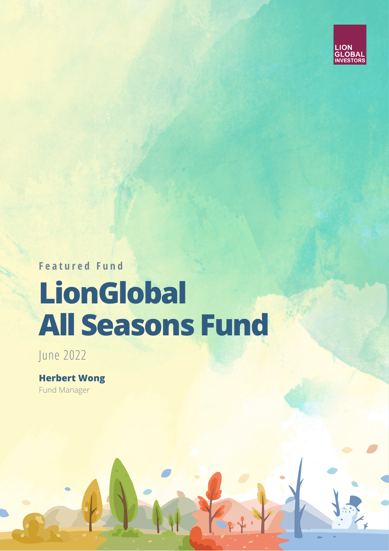

**F e a t u r e d F u n d**

## **LionGlobal All Seasons Fund**

June 2022

**Herbert Wong** Fund Manager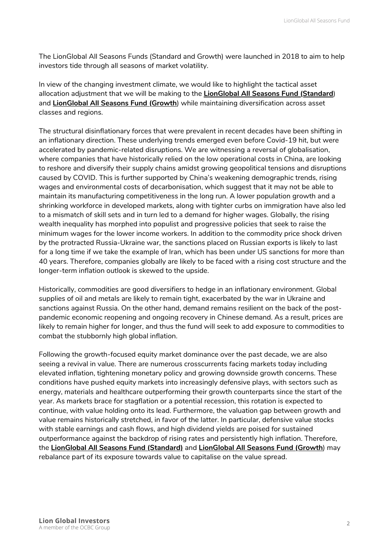The LionGlobal All Seasons Funds (Standard and Growth) were launched in 2018 to aim to help investors tide through all seasons of market volatility.

In view of the changing investment climate, we would like to highlight the tactical asset allocation adjustment that we will be making to the **[LionGlobal](https://www.lionglobalinvestors.com/en/fund.html?officialNav=LC1) All Seasons Fund (Standard**) and **[LionGlobal](https://www.lionglobalinvestors.com/en/fund.html?officialNav=LGS1) All Seasons Fund (Growth**) while maintaining diversification across asset classes and regions.

The structural disinflationary forces that were prevalent in recent decades have been shifting in an inflationary direction. These underlying trends emerged even before Covid-19 hit, but were accelerated by pandemic-related disruptions. We are witnessing a reversal of globalisation, where companies that have historically relied on the low operational costs in China, are looking to reshore and diversify their supply chains amidst growing geopolitical tensions and disruptions caused by COVID. This is further supported by China's weakening demographic trends, rising wages and environmental costs of decarbonisation, which suggest that it may not be able to maintain its manufacturing competitiveness in the long run. A lower population growth and a shrinking workforce in developed markets, along with tighter curbs on immigration have also led to a mismatch of skill sets and in turn led to a demand for higher wages. Globally, the rising wealth inequality has morphed into populist and progressive policies that seek to raise the minimum wages for the lower income workers. In addition to the commodity price shock driven by the protracted Russia-Ukraine war, the sanctions placed on Russian exports is likely to last for a long time if we take the example of Iran, which has been under US sanctions for more than 40 years. Therefore, companies globally are likely to be faced with a rising cost structure and the longer-term inflation outlook is skewed to the upside.

Historically, commodities are good diversifiers to hedge in an inflationary environment. Global supplies of oil and metals are likely to remain tight, exacerbated by the war in Ukraine and sanctions against Russia. On the other hand, demand remains resilient on the back of the postpandemic economic reopening and ongoing recovery in Chinese demand. As a result, prices are likely to remain higher for longer, and thus the fund will seek to add exposure to commodities to combat the stubbornly high global inflation.

Following the growth-focused equity market dominance over the past decade, we are also seeing a revival in value. There are numerous crosscurrents facing markets today including elevated inflation, tightening monetary policy and growing downside growth concerns. These conditions have pushed equity markets into increasingly defensive plays, with sectors such as energy, materials and healthcare outperforming their growth counterparts since the start of the year. As markets brace for stagflation or a potential recession, this rotation is expected to continue, with value holding onto its lead. Furthermore, the valuation gap between growth and value remains historically stretched, in favor of the latter. In particular, defensive value stocks with stable earnings and cash flows, and high dividend yields are poised for sustained outperformance against the backdrop of rising rates and persistently high inflation. Therefore, the **LionGlobal All Seasons Fund [\(Standard\)](https://www.lionglobalinvestors.com/en/fund.html?officialNav=LC1)** and **[LionGlobal](https://www.lionglobalinvestors.com/en/fund.html?officialNav=LGS1) All Seasons Fund (Growth**[\)](https://www.lionglobalinvestors.com/en/fund.html?officialNav=LGS1) may rebalance part of its exposure towards value to capitalise on the value spread.